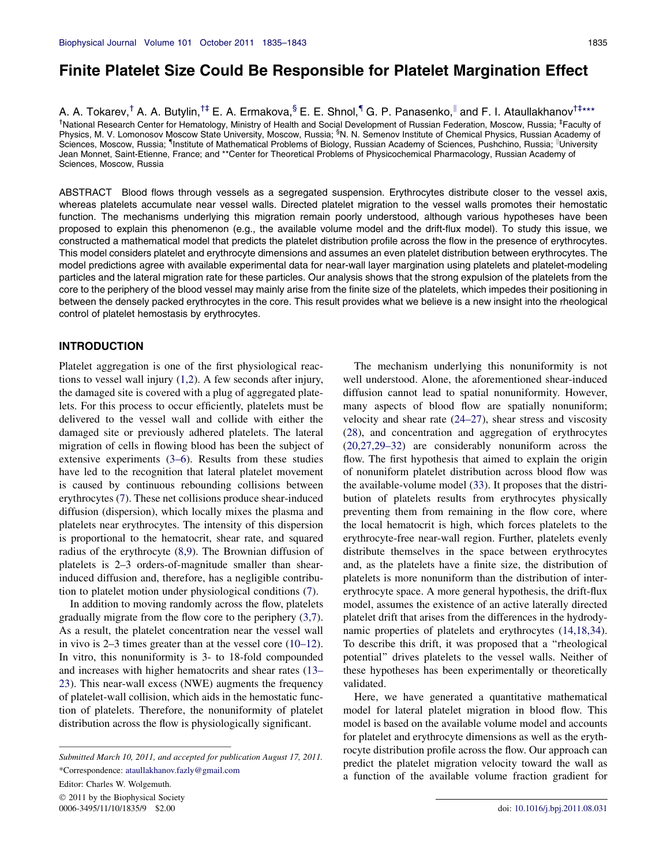# Finite Platelet Size Could Be Responsible for Platelet Margination Effect

A. A. Tokarev,<sup>†</sup> A. A. Butylin,<sup>†‡</sup> E. A. Ermakova,<sup>§</sup> E. E. Shnol,<sup>¶</sup> G. P. Panasenko,<sup>||</sup> and F. I. Ataullakhanov<sup>†‡\*\*\*</sup> <sup>†</sup>National Research Center for Hematology, Ministry of Health and Social Development of Russian Federation, Moscow, Russia; <sup>‡</sup>Faculty of Physics, M. V. Lomonosov Moscow State University, Moscow, Russia; <sup>§</sup>N. N. Semenov Institute of Chemical Physics, Russian Academy of Sciences, Moscow, Russia; <sup>1</sup>Institute of Mathematical Problems of Biology, Russian Academy of Sciences, Pushchino, Russia; <sup></sup>IUniversity Jean Monnet, Saint-Etienne, France; and \*\*Center for Theoretical Problems of Physicochemical Pharmacology, Russian Academy of Sciences, Moscow, Russia

ABSTRACT Blood flows through vessels as a segregated suspension. Erythrocytes distribute closer to the vessel axis, whereas platelets accumulate near vessel walls. Directed platelet migration to the vessel walls promotes their hemostatic function. The mechanisms underlying this migration remain poorly understood, although various hypotheses have been proposed to explain this phenomenon (e.g., the available volume model and the drift-flux model). To study this issue, we constructed a mathematical model that predicts the platelet distribution profile across the flow in the presence of erythrocytes. This model considers platelet and erythrocyte dimensions and assumes an even platelet distribution between erythrocytes. The model predictions agree with available experimental data for near-wall layer margination using platelets and platelet-modeling particles and the lateral migration rate for these particles. Our analysis shows that the strong expulsion of the platelets from the core to the periphery of the blood vessel may mainly arise from the finite size of the platelets, which impedes their positioning in between the densely packed erythrocytes in the core. This result provides what we believe is a new insight into the rheological control of platelet hemostasis by erythrocytes.

### INTRODUCTION

Platelet aggregation is one of the first physiological reactions to vessel wall injury ([1,2](#page-7-0)). A few seconds after injury, the damaged site is covered with a plug of aggregated platelets. For this process to occur efficiently, platelets must be delivered to the vessel wall and collide with either the damaged site or previously adhered platelets. The lateral migration of cells in flowing blood has been the subject of extensive experiments ([3–6](#page-7-0)). Results from these studies have led to the recognition that lateral platelet movement is caused by continuous rebounding collisions between erythrocytes [\(7](#page-7-0)). These net collisions produce shear-induced diffusion (dispersion), which locally mixes the plasma and platelets near erythrocytes. The intensity of this dispersion is proportional to the hematocrit, shear rate, and squared radius of the erythrocyte [\(8,9\)](#page-7-0). The Brownian diffusion of platelets is 2–3 orders-of-magnitude smaller than shearinduced diffusion and, therefore, has a negligible contribution to platelet motion under physiological conditions ([7\)](#page-7-0).

In addition to moving randomly across the flow, platelets gradually migrate from the flow core to the periphery [\(3,7\)](#page-7-0). As a result, the platelet concentration near the vessel wall in vivo is 2–3 times greater than at the vessel core ([10–12\)](#page-7-0). In vitro, this nonuniformity is 3- to 18-fold compounded and increases with higher hematocrits and shear rates ([13–](#page-8-0) [23](#page-8-0)). This near-wall excess (NWE) augments the frequency of platelet-wall collision, which aids in the hemostatic function of platelets. Therefore, the nonuniformity of platelet distribution across the flow is physiologically significant.

Editor: Charles W. Wolgemuth.

 2011 by the Biophysical Society 0006-3495/11/10/1835/9 \$2.00 doi: [10.1016/j.bpj.2011.08.031](http://dx.doi.org/10.1016/j.bpj.2011.08.031)

The mechanism underlying this nonuniformity is not well understood. Alone, the aforementioned shear-induced diffusion cannot lead to spatial nonuniformity. However, many aspects of blood flow are spatially nonuniform; velocity and shear rate [\(24–27](#page-8-0)), shear stress and viscosity ([28\)](#page-8-0), and concentration and aggregation of erythrocytes ([20,27,29–32\)](#page-8-0) are considerably nonuniform across the flow. The first hypothesis that aimed to explain the origin of nonuniform platelet distribution across blood flow was the available-volume model [\(33](#page-8-0)). It proposes that the distribution of platelets results from erythrocytes physically preventing them from remaining in the flow core, where the local hematocrit is high, which forces platelets to the erythrocyte-free near-wall region. Further, platelets evenly distribute themselves in the space between erythrocytes and, as the platelets have a finite size, the distribution of platelets is more nonuniform than the distribution of intererythrocyte space. A more general hypothesis, the drift-flux model, assumes the existence of an active laterally directed platelet drift that arises from the differences in the hydrodynamic properties of platelets and erythrocytes ([14,18,34\)](#page-8-0). To describe this drift, it was proposed that a ''rheological potential'' drives platelets to the vessel walls. Neither of these hypotheses has been experimentally or theoretically validated.

Here, we have generated a quantitative mathematical model for lateral platelet migration in blood flow. This model is based on the available volume model and accounts for platelet and erythrocyte dimensions as well as the erythrocyte distribution profile across the flow. Our approach can predict the platelet migration velocity toward the wall as a function of the available volume fraction gradient for

Submitted March 10, 2011, and accepted for publication August 17, 2011. \*Correspondence: [ataullakhanov.fazly@gmail.com](mailto:ataullakhanov.fazly@gmail.com)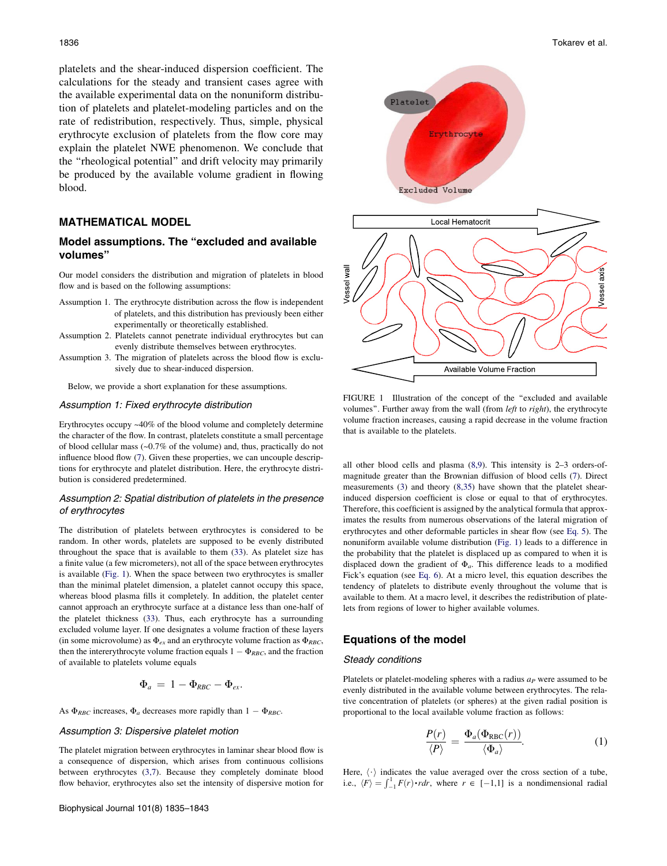<span id="page-1-0"></span>platelets and the shear-induced dispersion coefficient. The calculations for the steady and transient cases agree with the available experimental data on the nonuniform distribution of platelets and platelet-modeling particles and on the rate of redistribution, respectively. Thus, simple, physical erythrocyte exclusion of platelets from the flow core may explain the platelet NWE phenomenon. We conclude that the ''rheological potential'' and drift velocity may primarily be produced by the available volume gradient in flowing blood.

# MATHEMATICAL MODEL

# Model assumptions. The ''excluded and available volumes''

Our model considers the distribution and migration of platelets in blood flow and is based on the following assumptions:

- Assumption 1. The erythrocyte distribution across the flow is independent of platelets, and this distribution has previously been either experimentally or theoretically established.
- Assumption 2. Platelets cannot penetrate individual erythrocytes but can evenly distribute themselves between erythrocytes.
- Assumption 3. The migration of platelets across the blood flow is exclusively due to shear-induced dispersion.

Below, we provide a short explanation for these assumptions.

#### Assumption 1: Fixed erythrocyte distribution

Erythrocytes occupy ~40% of the blood volume and completely determine the character of the flow. In contrast, platelets constitute a small percentage of blood cellular mass (~0.7% of the volume) and, thus, practically do not influence blood flow ([7\)](#page-7-0). Given these properties, we can uncouple descriptions for erythrocyte and platelet distribution. Here, the erythrocyte distribution is considered predetermined.

#### Assumption 2: Spatial distribution of platelets in the presence of erythrocytes

The distribution of platelets between erythrocytes is considered to be random. In other words, platelets are supposed to be evenly distributed throughout the space that is available to them ([33\)](#page-8-0). As platelet size has a finite value (a few micrometers), not all of the space between erythrocytes is available (Fig. 1). When the space between two erythrocytes is smaller than the minimal platelet dimension, a platelet cannot occupy this space, whereas blood plasma fills it completely. In addition, the platelet center cannot approach an erythrocyte surface at a distance less than one-half of the platelet thickness [\(33](#page-8-0)). Thus, each erythrocyte has a surrounding excluded volume layer. If one designates a volume fraction of these layers (in some microvolume) as  $\Phi_{ex}$  and an erythrocyte volume fraction as  $\Phi_{RBC}$ , then the intererythrocyte volume fraction equals  $1 - \Phi_{RBC}$ , and the fraction of available to platelets volume equals

$$
\Phi_a = 1 - \Phi_{RBC} - \Phi_{ex}.
$$

As  $\Phi_{RBC}$  increases,  $\Phi_a$  decreases more rapidly than  $1 - \Phi_{RBC}$ .

#### Assumption 3: Dispersive platelet motion

The platelet migration between erythrocytes in laminar shear blood flow is a consequence of dispersion, which arises from continuous collisions between erythrocytes [\(3,7](#page-7-0)). Because they completely dominate blood flow behavior, erythrocytes also set the intensity of dispersive motion for





FIGURE 1 Illustration of the concept of the "excluded and available volumes". Further away from the wall (from *left* to *right*), the erythrocyte volume fraction increases, causing a rapid decrease in the volume fraction that is available to the platelets.

all other blood cells and plasma [\(8,9](#page-7-0)). This intensity is 2–3 orders-ofmagnitude greater than the Brownian diffusion of blood cells [\(7](#page-7-0)). Direct measurements [\(3](#page-7-0)) and theory [\(8,35\)](#page-7-0) have shown that the platelet shearinduced dispersion coefficient is close or equal to that of erythrocytes. Therefore, this coefficient is assigned by the analytical formula that approximates the results from numerous observations of the lateral migration of erythrocytes and other deformable particles in shear flow (see [Eq. 5](#page-2-0)). The nonuniform available volume distribution (Fig. 1) leads to a difference in the probability that the platelet is displaced up as compared to when it is displaced down the gradient of  $\Phi_a$ . This difference leads to a modified Fick's equation (see [Eq. 6](#page-2-0)). At a micro level, this equation describes the tendency of platelets to distribute evenly throughout the volume that is available to them. At a macro level, it describes the redistribution of platelets from regions of lower to higher available volumes.

#### Equations of the model

#### Steady conditions

Platelets or platelet-modeling spheres with a radius  $a<sub>P</sub>$  were assumed to be evenly distributed in the available volume between erythrocytes. The relative concentration of platelets (or spheres) at the given radial position is proportional to the local available volume fraction as follows:

$$
\frac{P(r)}{\langle P \rangle} = \frac{\Phi_a(\Phi_{RBC}(r))}{\langle \Phi_a \rangle}.
$$
 (1)

Here,  $\langle \cdot \rangle$  indicates the value averaged over the cross section of a tube, i.e.,  $\langle F \rangle = \int_{-1}^{1} F(r) \cdot r dr$ , where  $r \in [-1,1]$  is a nondimensional radial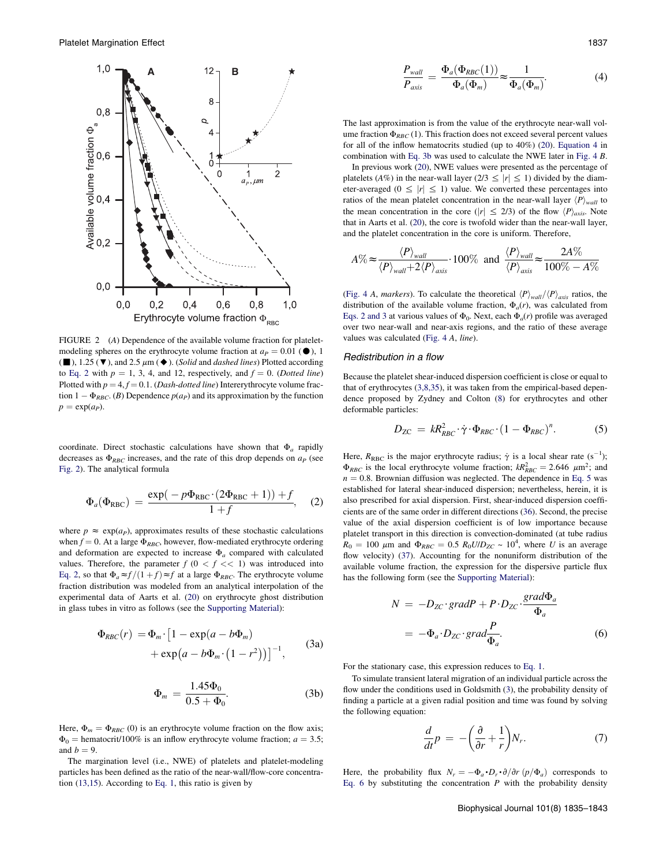<span id="page-2-0"></span>

FIGURE 2 (A) Dependence of the available volume fraction for plateletmodeling spheres on the erythrocyte volume fraction at  $a_P = 0.01$  ( $\bullet$ ), 1  $(\blacksquare)$ , 1.25 ( $\nabla$ ), and 2.5  $\mu$ m ( $\blacklozenge$ ). (Solid and dashed lines) Plotted according to Eq. 2 with  $p = 1, 3, 4$ , and 12, respectively, and  $f = 0$ . (Dotted line) Plotted with  $p = 4$ ,  $f = 0.1$ . (*Dash-dotted line*) Intererythrocyte volume fraction  $1 - \Phi_{RBC}$ . (*B*) Dependence  $p(a_P)$  and its approximation by the function  $p = \exp(a_P)$ .

coordinate. Direct stochastic calculations have shown that  $\Phi_a$  rapidly decreases as  $\Phi_{RBC}$  increases, and the rate of this drop depends on  $a<sub>P</sub>$  (see Fig. 2). The analytical formula

$$
\Phi_a(\Phi_{RBC}) = \frac{\exp(-p\Phi_{RBC} \cdot (2\Phi_{RBC} + 1)) + f}{1 + f}, \quad (2)
$$

where  $p \approx \exp(a_p)$ , approximates results of these stochastic calculations when  $f = 0$ . At a large  $\Phi_{RBC}$ , however, flow-mediated erythrocyte ordering and deformation are expected to increase  $\Phi_a$  compared with calculated values. Therefore, the parameter  $f(0 < f < < 1)$  was introduced into Eq. 2, so that  $\Phi_a \approx f/(1+f) \approx f$  at a large  $\Phi_{RBC}$ . The erythrocyte volume fraction distribution was modeled from an analytical interpolation of the experimental data of Aarts et al. ([20\)](#page-8-0) on erythrocyte ghost distribution in glass tubes in vitro as follows (see the [Supporting Material\)](#page-7-0):

$$
\Phi_{RBC}(r) = \Phi_m \cdot \left[1 - \exp(a - b\Phi_m) + \exp(a - b\Phi_m \cdot (1 - r^2))\right]^{-1},
$$
\n(3a)

$$
\Phi_m = \frac{1.45\Phi_0}{0.5 + \Phi_0}.
$$
\n(3b)

Here,  $\Phi_m = \Phi_{RBC}$  (0) is an erythrocyte volume fraction on the flow axis;  $\Phi_0$  = hematocrit/100% is an inflow erythrocyte volume fraction;  $a = 3.5$ ; and  $b = 9$ .

The margination level (i.e., NWE) of platelets and platelet-modeling particles has been defined as the ratio of the near-wall/flow-core concentration ([13,15\)](#page-8-0). According to [Eq. 1,](#page-1-0) this ratio is given by

$$
\frac{P_{wall}}{P_{axis}} = \frac{\Phi_a(\Phi_{RBC}(1))}{\Phi_a(\Phi_m)} \approx \frac{1}{\Phi_a(\Phi_m)}.
$$
 (4)

The last approximation is from the value of the erythrocyte near-wall volume fraction  $\Phi_{RBC}$  (1). This fraction does not exceed several percent values for all of the inflow hematocrits studied (up to 40%) [\(20](#page-8-0)). Equation 4 in combination with Eq. 3b was used to calculate the NWE later in [Fig. 4](#page-5-0) B.

In previous work ([20\)](#page-8-0), NWE values were presented as the percentage of platelets (A%) in the near-wall layer ( $2/3 \le |r| \le 1$ ) divided by the diameter-averaged ( $0 \leq |r| \leq 1$ ) value. We converted these percentages into ratios of the mean platelet concentration in the near-wall layer  $\langle P \rangle_{wall}$  to the mean concentration in the core ( $|r| \leq 2/3$ ) of the flow  $\langle P \rangle_{axis}$ . Note that in Aarts et al. [\(20](#page-8-0)), the core is twofold wider than the near-wall layer, and the platelet concentration in the core is uniform. Therefore,

$$
A\% \approx \frac{\langle P \rangle_{wall}}{\langle P \rangle_{wall} + 2\langle P \rangle_{axis}} \cdot 100\% \text{ and } \frac{\langle P \rangle_{wall}}{\langle P \rangle_{axis}} \approx \frac{2A\%}{100\% - A\%}
$$

[\(Fig. 4](#page-5-0) A, markers). To calculate the theoretical  $\langle P \rangle_{wall} / \langle P \rangle_{axis}$  ratios, the distribution of the available volume fraction,  $\Phi_a(r)$ , was calculated from Eqs. 2 and 3 at various values of  $\Phi_0$ . Next, each  $\Phi_a(r)$  profile was averaged over two near-wall and near-axis regions, and the ratio of these average values was calculated [\(Fig. 4](#page-5-0) A, line).

#### Redistribution in a flow

Because the platelet shear-induced dispersion coefficient is close or equal to that of erythrocytes ([3,8,35\)](#page-7-0), it was taken from the empirical-based dependence proposed by Zydney and Colton [\(8](#page-7-0)) for erythrocytes and other deformable particles:

$$
D_{\rm ZC} = kR_{RBC}^2 \cdot \dot{\gamma} \cdot \Phi_{RBC} \cdot (1 - \Phi_{RBC})^n. \tag{5}
$$

Here,  $R_{\text{RBC}}$  is the major erythrocyte radius;  $\dot{\gamma}$  is a local shear rate (s<sup>-1</sup>);<br>
the local erythrocyte volume fraction;  $bP^2 = 2.646$  (um<sup>2</sup>; and  $\Phi_{RBC}$  is the local erythrocyte volume fraction;  $kR_{BBC}^2 = 2.646 \mu m^2$ ; and  $n = 0.8$  Brownian diffusion was neglected. The dependence in Eq. 5 was  $n = 0.8$ . Brownian diffusion was neglected. The dependence in Eq. 5 was established for lateral shear-induced dispersion; nevertheless, herein, it is also prescribed for axial dispersion. First, shear-induced dispersion coefficients are of the same order in different directions [\(36](#page-8-0)). Second, the precise value of the axial dispersion coefficient is of low importance because platelet transport in this direction is convection-dominated (at tube radius  $R_0 = 100 \mu m$  and  $\Phi_{RBC} = 0.5 R_0 U/D_{ZC} \sim 10^4$ , where U is an average<br>flow velocity) (37). Accounting for the nonuniform distribution of the flow velocity) [\(37](#page-8-0)). Accounting for the nonuniform distribution of the available volume fraction, the expression for the dispersive particle flux has the following form (see the [Supporting Material\)](#page-7-0):

$$
N = -D_{ZC} \cdot gradP + P \cdot D_{ZC} \cdot \frac{grad\Phi_a}{\Phi_a}
$$
  
=  $-\Phi_a \cdot D_{ZC} \cdot grad\frac{P}{\Phi_a}$ . (6)

For the stationary case, this expression reduces to [Eq. 1.](#page-1-0)

To simulate transient lateral migration of an individual particle across the flow under the conditions used in Goldsmith ([3\)](#page-7-0), the probability density of finding a particle at a given radial position and time was found by solving the following equation:

$$
\frac{d}{dt}p = -\left(\frac{\partial}{\partial r} + \frac{1}{r}\right)N_r.
$$
 (7)

Here, the probability flux  $N_r = -\Phi_a \cdot D_r \cdot \partial/\partial r$  ( $p/\Phi_a$ ) corresponds to Eq. 6 by substituting the concentration  $P$  with the probability density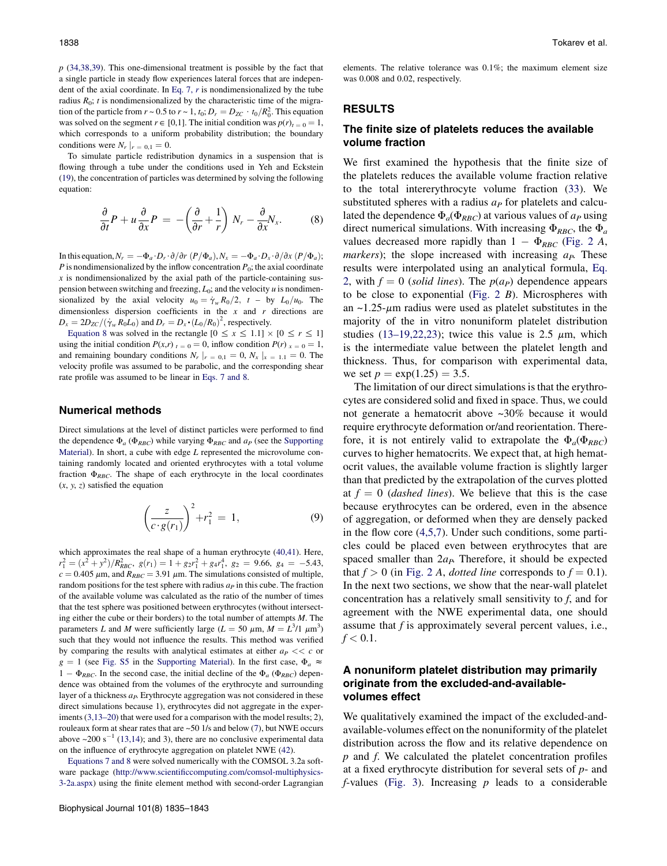<span id="page-3-0"></span> $p$  ([34,38,39\)](#page-8-0). This one-dimensional treatment is possible by the fact that a single particle in steady flow experiences lateral forces that are independent of the axial coordinate. In [Eq. 7,](#page-2-0) r is nondimensionalized by the tube radius  $R_0$ ; t is nondimensionalized by the characteristic time of the migration of the particle from  $r \sim 0.5$  to  $r \sim 1$ ,  $t_0$ ;  $D_r = D_{ZC} \cdot t_0 / R_0^2$ . This equation was solved on the segment  $r \in [0,1]$ . The initial condition was  $p(r)_{t=0} = 1$ , which corresponds to a uniform probability distribution; the boundary conditions were  $N_r \mid_{r = 0,1}$  = 0.

To simulate particle redistribution dynamics in a suspension that is flowing through a tube under the conditions used in Yeh and Eckstein [\(19](#page-8-0)), the concentration of particles was determined by solving the following equation:

$$
\frac{\partial}{\partial t}P + u\frac{\partial}{\partial x}P = -\left(\frac{\partial}{\partial r} + \frac{1}{r}\right)N_r - \frac{\partial}{\partial x}N_x.
$$
 (8)

In this equation,  $N_r = -\Phi_a \cdot D_r \cdot \partial/\partial r$   $(P/\Phi_a)$ ,  $N_x = -\Phi_a \cdot D_x \cdot \partial/\partial x$   $(P/\Phi_a)$ ;<br>P is pondimensionalized by the inflow concentration  $P_a$ ; the axial coordinate P is nondimensionalized by the inflow concentration  $P_0$ ; the axial coordinate  $x$  is nondimensionalized by the axial path of the particle-containing suspension between switching and freezing,  $L_0$ ; and the velocity  $u$  is nondimensionalized by the axial velocity  $u_0 = \dot{\gamma}_w R_0/2$ ,  $t$  – by  $L_0/u_0$ . The dimensionless dispersion coefficients in the  $x$  and  $r$  directions are  $D_x = 2D_{ZC}/(\dot{\gamma}_w R_0 L_0)$  and  $D_r = D_x \cdot (L_0/R_0)^2$ , respectively.<br>Foughion 8 was solved in the rectangle  $[0 \le x \le 1.1]$ 

Equation 8 was solved in the rectangle  $[0 \le x \le 1.1] \times [0 \le r \le 1]$ using the initial condition  $P(x,r)$   $_{t=0} = 0$ , inflow condition  $P(r)$   $_{x=0} = 1$ , and remaining boundary conditions  $N_r$   $r = 0, 1 = 0$ ,  $N_x$   $r = 1.1 = 0$ . The velocity profile was assumed to be parabolic, and the corresponding shear rate profile was assumed to be linear in [Eqs. 7 and 8.](#page-2-0)

### Numerical methods

Direct simulations at the level of distinct particles were performed to find the dependence  $\Phi_a$  ( $\Phi_{RBC}$ ) while varying  $\Phi_{RBC}$  and  $a_P$  (see the [Supporting](#page-7-0) [Material\)](#page-7-0). In short, a cube with edge L represented the microvolume containing randomly located and oriented erythrocytes with a total volume fraction  $\Phi_{RBC}$ . The shape of each erythrocyte in the local coordinates  $(x, y, z)$  satisfied the equation

$$
\left(\frac{z}{c \cdot g(r_1)}\right)^2 + r_1^2 = 1,\tag{9}
$$

which approximates the real shape of a human erythrocyte ([40,41\)](#page-8-0). Here,  $r_1^2 = (x^2 + y^2)/R_{RBC}^2$ ,  $g(r_1) = 1 + g_2r_1^2 + g_4r_1^4$ ,  $g_2 = 9.66$ ,  $g_4 = -5.43$ ,  $c = 0.405 \mu m$ , and  $R_{RBC} = 3.91 \mu m$ . The simulations consisted of multiple, random positions for the test sphere with radius  $a<sub>P</sub>$  in this cube. The fraction of the available volume was calculated as the ratio of the number of times that the test sphere was positioned between erythrocytes (without intersecting either the cube or their borders) to the total number of attempts  $M$ . The parameters L and M were sufficiently large  $(L = 50 \mu m, M = L^3/1 \mu m^3)$ <br>such that they would not influence the results. This method was verified such that they would not influence the results. This method was verified by comparing the results with analytical estimates at either  $a<sub>P</sub> << c$  or  $g = 1$  (see [Fig. S5](#page-7-0) in the [Supporting Material\)](#page-7-0). In the first case,  $\Phi_a \approx$  $1 - \Phi_{RBC}$ . In the second case, the initial decline of the  $\Phi_a$  ( $\Phi_{RBC}$ ) dependence was obtained from the volumes of the erythrocyte and surrounding layer of a thickness  $a_P$ . Erythrocyte aggregation was not considered in these direct simulations because 1), erythrocytes did not aggregate in the experiments ([3,13–20\)](#page-7-0) that were used for a comparison with the model results; 2), rouleaux form at shear rates that are  $\sim$  50 1/s and below ([7\)](#page-7-0), but NWE occurs above  $\sim$ 200 s<sup>-1</sup> ([13,14\)](#page-8-0); and 3), there are no conclusive experimental data on the influence of erythrocyte aggregation on platelet NWE ([42\)](#page-8-0).

[Equations 7 and 8](#page-2-0) were solved numerically with the COMSOL 3.2a software package ([http://www.scientificcomputing.com/comsol-multiphysics-](http://www.scientificcomputing.com/comsol-multiphysics-3-2a.aspx)[3-2a.aspx](http://www.scientificcomputing.com/comsol-multiphysics-3-2a.aspx)) using the finite element method with second-order Lagrangian elements. The relative tolerance was 0.1%; the maximum element size was 0.008 and 0.02, respectively.

#### RESULTS

### The finite size of platelets reduces the available volume fraction

We first examined the hypothesis that the finite size of the platelets reduces the available volume fraction relative to the total intererythrocyte volume fraction [\(33](#page-8-0)). We substituted spheres with a radius  $a<sub>P</sub>$  for platelets and calculated the dependence  $\Phi_a(\Phi_{RBC})$  at various values of  $a_P$  using direct numerical simulations. With increasing  $\Phi_{RBC}$ , the  $\Phi_a$ values decreased more rapidly than  $1 - \Phi_{RBC}$  ([Fig. 2](#page-2-0) A, *markers*); the slope increased with increasing  $a<sub>P</sub>$ . These results were interpolated using an analytical formula, [Eq.](#page-2-0) [2](#page-2-0), with  $f = 0$  (solid lines). The  $p(a_p)$  dependence appears to be close to exponential (Fig.  $2 \, B$ ). Microspheres with an  $\sim$ 1.25- $\mu$ m radius were used as platelet substitutes in the majority of the in vitro nonuniform platelet distribution studies ([13–19,22,23\)](#page-8-0); twice this value is 2.5  $\mu$ m, which is the intermediate value between the platelet length and thickness. Thus, for comparison with experimental data, we set  $p = \exp(1.25) = 3.5$ .

The limitation of our direct simulations is that the erythrocytes are considered solid and fixed in space. Thus, we could not generate a hematocrit above ~30% because it would require erythrocyte deformation or/and reorientation. Therefore, it is not entirely valid to extrapolate the  $\Phi_a(\Phi_{RBC})$ curves to higher hematocrits. We expect that, at high hematocrit values, the available volume fraction is slightly larger than that predicted by the extrapolation of the curves plotted at  $f = 0$  (*dashed lines*). We believe that this is the case because erythrocytes can be ordered, even in the absence of aggregation, or deformed when they are densely packed in the flow core ([4,5,7\)](#page-7-0). Under such conditions, some particles could be placed even between erythrocytes that are spaced smaller than  $2a<sub>P</sub>$ . Therefore, it should be expected that  $f > 0$  (in [Fig. 2](#page-2-0) A, dotted line corresponds to  $f = 0.1$ ). In the next two sections, we show that the near-wall platelet concentration has a relatively small sensitivity to  $f$ , and for agreement with the NWE experimental data, one should assume that  $f$  is approximately several percent values, i.e.,  $f < 0.1$ .

# A nonuniform platelet distribution may primarily originate from the excluded-and-availablevolumes effect

We qualitatively examined the impact of the excluded-andavailable-volumes effect on the nonuniformity of the platelet distribution across the flow and its relative dependence on p and f. We calculated the platelet concentration profiles at a fixed erythrocyte distribution for several sets of  $p$ - and  $f$ -values [\(Fig. 3\)](#page-4-0). Increasing  $p$  leads to a considerable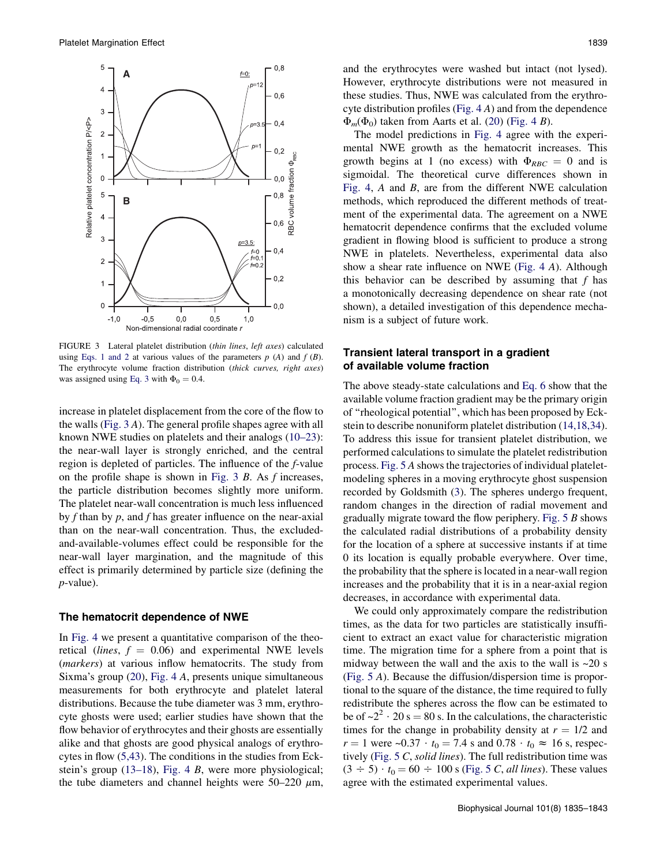<span id="page-4-0"></span>

FIGURE 3 Lateral platelet distribution (thin lines, left axes) calculated using [Eqs. 1 and 2](#page-1-0) at various values of the parameters  $p(A)$  and  $f(B)$ . The erythrocyte volume fraction distribution (thick curves, right axes) was assigned using Eq. 3 with  $\Phi_0 = 0.4$ .

increase in platelet displacement from the core of the flow to the walls (Fig. 3 A). The general profile shapes agree with all known NWE studies on platelets and their analogs [\(10–23](#page-7-0)): the near-wall layer is strongly enriched, and the central region is depleted of particles. The influence of the f-value on the profile shape is shown in Fig.  $3 B$ . As  $f$  increases, the particle distribution becomes slightly more uniform. The platelet near-wall concentration is much less influenced by f than by  $p$ , and f has greater influence on the near-axial than on the near-wall concentration. Thus, the excludedand-available-volumes effect could be responsible for the near-wall layer margination, and the magnitude of this effect is primarily determined by particle size (defining the p-value).

#### The hematocrit dependence of NWE

In [Fig. 4](#page-5-0) we present a quantitative comparison of the theoretical (*lines*,  $f = 0.06$ ) and experimental NWE levels (markers) at various inflow hematocrits. The study from Sixma's group ([20\)](#page-8-0), Fig. 4 A, presents unique simultaneous measurements for both erythrocyte and platelet lateral distributions. Because the tube diameter was 3 mm, erythrocyte ghosts were used; earlier studies have shown that the flow behavior of erythrocytes and their ghosts are essentially alike and that ghosts are good physical analogs of erythrocytes in flow [\(5,43\)](#page-7-0). The conditions in the studies from Eckstein's group [\(13–18](#page-8-0)), [Fig. 4](#page-5-0) B, were more physiological; the tube diameters and channel heights were  $50-220 \mu m$ , and the erythrocytes were washed but intact (not lysed). However, erythrocyte distributions were not measured in these studies. Thus, NWE was calculated from the erythrocyte distribution profiles ([Fig. 4](#page-5-0) A) and from the dependence  $\Phi_m(\Phi_0)$  taken from Aarts et al. [\(20](#page-8-0)) ([Fig. 4](#page-5-0) B).

The model predictions in [Fig. 4](#page-5-0) agree with the experimental NWE growth as the hematocrit increases. This growth begins at 1 (no excess) with  $\Phi_{RBC} = 0$  and is sigmoidal. The theoretical curve differences shown in [Fig. 4](#page-5-0), A and B, are from the different NWE calculation methods, which reproduced the different methods of treatment of the experimental data. The agreement on a NWE hematocrit dependence confirms that the excluded volume gradient in flowing blood is sufficient to produce a strong NWE in platelets. Nevertheless, experimental data also show a shear rate influence on NWE ([Fig. 4](#page-5-0) A). Although this behavior can be described by assuming that  $f$  has a monotonically decreasing dependence on shear rate (not shown), a detailed investigation of this dependence mechanism is a subject of future work.

# Transient lateral transport in a gradient of available volume fraction

The above steady-state calculations and [Eq. 6](#page-2-0) show that the available volume fraction gradient may be the primary origin of ''rheological potential'', which has been proposed by Eckstein to describe nonuniform platelet distribution ([14,18,34\)](#page-8-0). To address this issue for transient platelet distribution, we performed calculations to simulate the platelet redistribution process. [Fig. 5](#page-6-0) A shows the trajectories of individual plateletmodeling spheres in a moving erythrocyte ghost suspension recorded by Goldsmith [\(3](#page-7-0)). The spheres undergo frequent, random changes in the direction of radial movement and gradually migrate toward the flow periphery. [Fig. 5](#page-6-0) B shows the calculated radial distributions of a probability density for the location of a sphere at successive instants if at time 0 its location is equally probable everywhere. Over time, the probability that the sphere is located in a near-wall region increases and the probability that it is in a near-axial region decreases, in accordance with experimental data.

We could only approximately compare the redistribution times, as the data for two particles are statistically insufficient to extract an exact value for characteristic migration time. The migration time for a sphere from a point that is midway between the wall and the axis to the wall is  $\sim$ 20 s ([Fig. 5](#page-6-0) A). Because the diffusion/dispersion time is proportional to the square of the distance, the time required to fully redistribute the spheres across the flow can be estimated to be of  $\sim 2^2 \cdot 20$  s = 80 s. In the calculations, the characteristic times for the change in probability density at  $r = 1/2$  and  $r = 1$  were ~0.37  $\cdot t_0 = 7.4$  s and 0.78  $\cdot t_0 \approx 16$  s, respectively ([Fig. 5](#page-6-0) C, solid lines). The full redistribution time was  $(3 \div 5) \cdot t_0 = 60 \div 100$  s [\(Fig. 5](#page-6-0) C, all lines). These values agree with the estimated experimental values.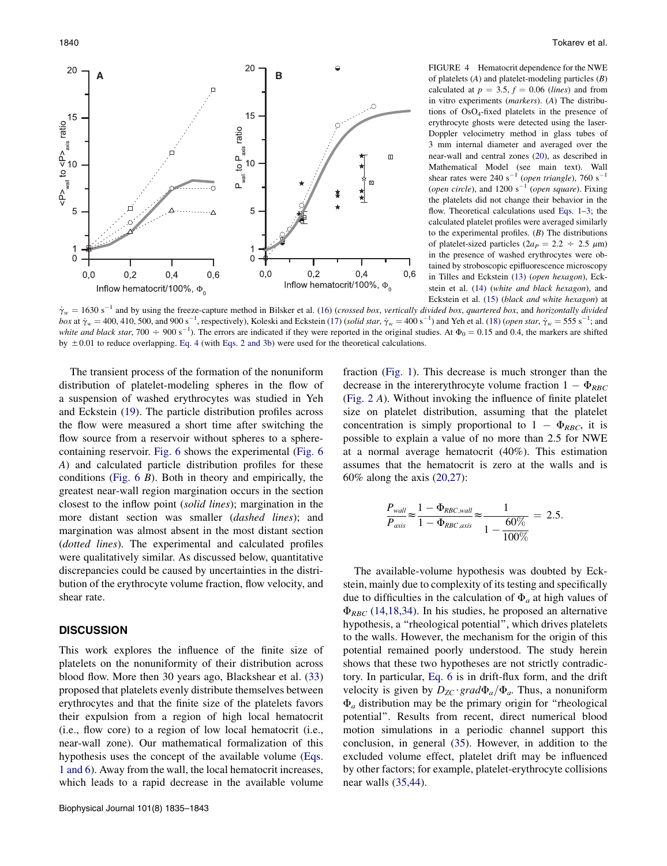<span id="page-5-0"></span>

calculated at  $p = 3.5$ ,  $f = 0.06$  (lines) and from in vitro experiments (markers). (A) The distributions of OsO4-fixed platelets in the presence of erythrocyte ghosts were detected using the laser-Doppler velocimetry method in glass tubes of 3 mm internal diameter and averaged over the near-wall and central zones [\(20](#page-8-0)), as described in Mathematical Model (see main text). Wall shear rates were 240 s<sup>-1</sup> (open triangle), 760 s<sup>-1</sup> (open circle), and  $1200~\rm s^{-1}$  (open square). Fixing the platelets did not change their behavior in the flow. Theoretical calculations used [Eqs. 1–3](#page-1-0); the calculated platelet profiles were averaged similarly to the experimental profiles.  $(B)$  The distributions of platelet-sized particles ( $2a_P = 2.2 \div 2.5 \mu m$ ) in the presence of washed erythrocytes were obtained by stroboscopic epifluorescence microscopy in Tilles and Eckstein [\(13](#page-8-0)) (open hexagon), Eckstein et al. ([14](#page-8-0)) (white and black hexagon), and Eckstein et al. [\(15](#page-8-0)) (black and white hexagon) at

 $\dot{\gamma}_w = 1630 \text{ s}^{-1}$  and by using the freeze-capture method in Bilsker et al. ([16\)](#page-8-0) (crossed box, vertically divided box, quartered box, and horizontally divided box at  $\dot{\gamma}_e = 400 \text{ s}^{-1}$  and  $\gamma_e = 400 \text{ s}^{-1}$  and  $\$ box at  $\dot{\gamma}_w = 400, 410, 500$ , and 900 s<sup>-1</sup>, respectively), Koleski and Eckstein ([17\)](#page-8-0) (solid star,  $\dot{\gamma}_w = 400$  s<sup>-1</sup>) and Yeh et al. [\(18](#page-8-0)) (open star,  $\dot{\gamma}_w = 555$  s<sup>-1</sup>; and white and black star, 700 ÷ 000 s<sup>-1</sup>). Th white and black star,  $700 \div 900 \text{ s}^{-1}$ ). The errors are indicated if they were reported in the original studies. At  $\Phi_0 = 0.15$  and 0.4, the markers are shifted by  $\pm 0.01$  to reduce overlapping. [Eq. 4](#page-2-0) (with [Eqs. 2 and 3b\)](#page-2-0) were used for the theoretical calculations.

The transient process of the formation of the nonuniform distribution of platelet-modeling spheres in the flow of a suspension of washed erythrocytes was studied in Yeh and Eckstein ([19\)](#page-8-0). The particle distribution profiles across the flow were measured a short time after switching the flow source from a reservoir without spheres to a spherecontaining reservoir. [Fig. 6](#page-7-0) shows the experimental (Fig. 6 A) and calculated particle distribution profiles for these conditions (Fig.  $6 \, B$ ). Both in theory and empirically, the greatest near-wall region margination occurs in the section closest to the inflow point (solid lines); margination in the more distant section was smaller (dashed lines); and margination was almost absent in the most distant section (dotted lines). The experimental and calculated profiles were qualitatively similar. As discussed below, quantitative discrepancies could be caused by uncertainties in the distribution of the erythrocyte volume fraction, flow velocity, and shear rate.

#### **DISCUSSION**

This work explores the influence of the finite size of platelets on the nonuniformity of their distribution across blood flow. More then 30 years ago, Blackshear et al. [\(33](#page-8-0)) proposed that platelets evenly distribute themselves between erythrocytes and that the finite size of the platelets favors their expulsion from a region of high local hematocrit (i.e., flow core) to a region of low local hematocrit (i.e., near-wall zone). Our mathematical formalization of this hypothesis uses the concept of the available volume [\(Eqs.](#page-1-0) [1 and 6\)](#page-1-0). Away from the wall, the local hematocrit increases, which leads to a rapid decrease in the available volume fraction ([Fig. 1](#page-1-0)). This decrease is much stronger than the decrease in the intererythrocyte volume fraction  $1 - \Phi_{RBC}$ ([Fig. 2](#page-2-0) A). Without invoking the influence of finite platelet size on platelet distribution, assuming that the platelet concentration is simply proportional to  $1 - \Phi_{RBC}$ , it is possible to explain a value of no more than 2.5 for NWE at a normal average hematocrit (40%). This estimation assumes that the hematocrit is zero at the walls and is 60% along the axis ([20,27](#page-8-0)):

$$
\frac{P_{wall}}{P_{axis}} \approx \frac{1 - \Phi_{RBC, wall}}{1 - \Phi_{RBC, axis}} \approx \frac{1}{1 - \frac{60\%}{100\%}} = 2.5.
$$

The available-volume hypothesis was doubted by Eckstein, mainly due to complexity of its testing and specifically due to difficulties in the calculation of  $\Phi_a$  at high values of  $\Phi_{RBC}$  ([14,18,34](#page-8-0)). In his studies, he proposed an alternative hypothesis, a ''rheological potential'', which drives platelets to the walls. However, the mechanism for the origin of this potential remained poorly understood. The study herein shows that these two hypotheses are not strictly contradictory. In particular, [Eq. 6](#page-2-0) is in drift-flux form, and the drift velocity is given by  $D_{ZC} \cdot grad\Phi_a/\Phi_a$ . Thus, a nonuniform  $\Phi_a$  distribution may be the primary origin for "rheological potential''. Results from recent, direct numerical blood motion simulations in a periodic channel support this conclusion, in general [\(35](#page-8-0)). However, in addition to the excluded volume effect, platelet drift may be influenced by other factors; for example, platelet-erythrocyte collisions near walls [\(35,44\)](#page-8-0).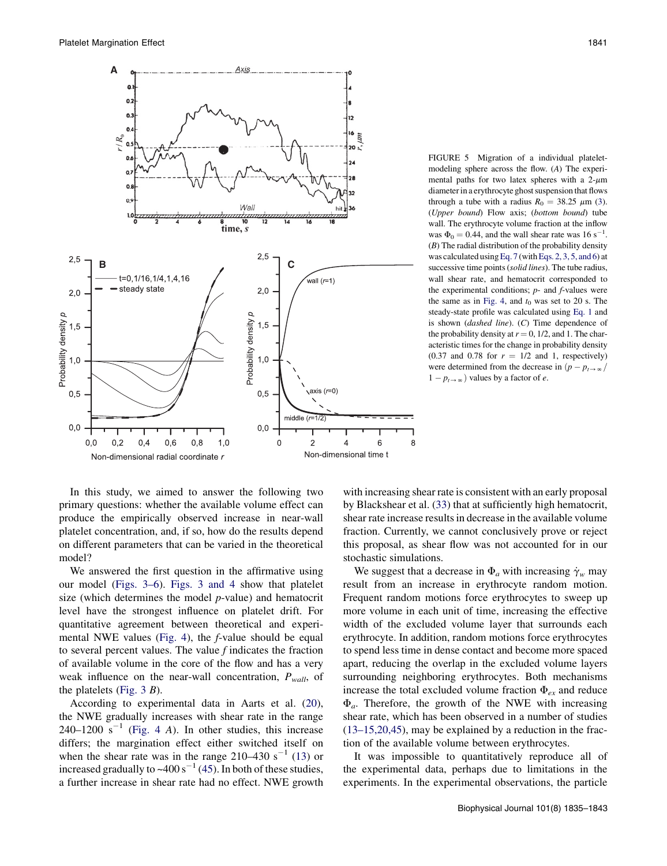<span id="page-6-0"></span>

FIGURE 5 Migration of a individual plateletmodeling sphere across the flow. (A) The experimental paths for two latex spheres with a  $2-\mu m$ diameter in a erythrocyte ghost suspension that flows through a tube with a radius  $R_0 = 38.25 \mu m$  [\(3\)](#page-7-0). (Upper bound) Flow axis; (bottom bound) tube wall. The erythrocyte volume fraction at the inflow was  $\Phi_0 = 0.44$ , and the wall shear rate was 16 s<sup>-1</sup>.  $(B)$  The radial distribution of the probability density was calculated using [Eq. 7](#page-2-0) (with Eqs.  $2, 3, 5$ , and 6) at successive time points (solid lines). The tube radius, wall shear rate, and hematocrit corresponded to the experimental conditions;  $p$ - and  $f$ -values were the same as in [Fig. 4](#page-5-0), and  $t_0$  was set to 20 s. The steady-state profile was calculated using [Eq. 1](#page-1-0) and is shown (dashed line). (C) Time dependence of the probability density at  $r = 0$ , 1/2, and 1. The characteristic times for the change in probability density (0.37 and 0.78 for  $r = 1/2$  and 1, respectively) were determined from the decrease in  $(p - p_t \rightarrow \infty)$  $1 - p_t \rightarrow \infty$ ) values by a factor of *e*.

In this study, we aimed to answer the following two primary questions: whether the available volume effect can produce the empirically observed increase in near-wall platelet concentration, and, if so, how do the results depend on different parameters that can be varied in the theoretical model?

We answered the first question in the affirmative using our model ([Figs. 3–6\)](#page-4-0). [Figs. 3 and 4](#page-4-0) show that platelet size (which determines the model  $p$ -value) and hematocrit level have the strongest influence on platelet drift. For quantitative agreement between theoretical and experimental NWE values [\(Fig. 4\)](#page-5-0), the f-value should be equal to several percent values. The value  $f$  indicates the fraction of available volume in the core of the flow and has a very weak influence on the near-wall concentration,  $P_{wall}$ , of the platelets (Fig.  $3 B$ ).

According to experimental data in Aarts et al. ([20\)](#page-8-0), the NWE gradually increases with shear rate in the range 240–1200  $s^{-1}$  ([Fig. 4](#page-5-0) A). In other studies, this increase differs; the margination effect either switched itself on when the shear rate was in the range  $210-430$  s<sup>-1</sup> [\(13](#page-8-0)) or increased gradually to  $\sim$  400 s<sup> $-1$ </sup> ([45\)](#page-8-0). In both of these studies, a further increase in shear rate had no effect. NWE growth with increasing shear rate is consistent with an early proposal by Blackshear et al. [\(33](#page-8-0)) that at sufficiently high hematocrit, shear rate increase results in decrease in the available volume fraction. Currently, we cannot conclusively prove or reject this proposal, as shear flow was not accounted for in our stochastic simulations.

We suggest that a decrease in  $\Phi_a$  with increasing  $\dot{\gamma}_w$  may result from an increase in erythrocyte random motion. Frequent random motions force erythrocytes to sweep up more volume in each unit of time, increasing the effective width of the excluded volume layer that surrounds each erythrocyte. In addition, random motions force erythrocytes to spend less time in dense contact and become more spaced apart, reducing the overlap in the excluded volume layers surrounding neighboring erythrocytes. Both mechanisms increase the total excluded volume fraction  $\Phi_{ex}$  and reduce  $\Phi_{a}$ . Therefore, the growth of the NWE with increasing shear rate, which has been observed in a number of studies ([13–15,20,45\)](#page-8-0), may be explained by a reduction in the fraction of the available volume between erythrocytes.

It was impossible to quantitatively reproduce all of the experimental data, perhaps due to limitations in the experiments. In the experimental observations, the particle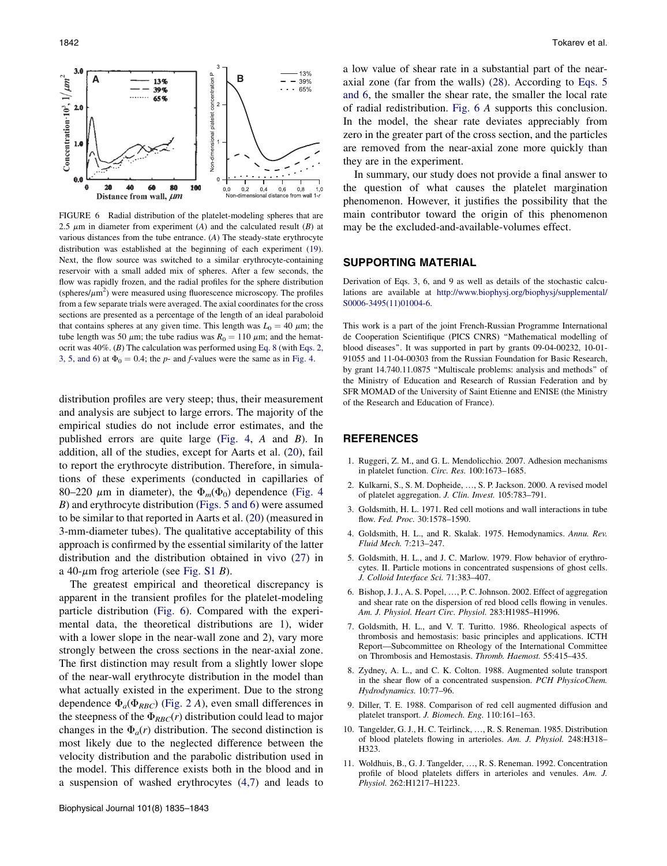<span id="page-7-0"></span>

FIGURE 6 Radial distribution of the platelet-modeling spheres that are 2.5  $\mu$ m in diameter from experiment (A) and the calculated result (B) at various distances from the tube entrance. (A) The steady-state erythrocyte distribution was established at the beginning of each experiment ([19\)](#page-8-0). Next, the flow source was switched to a similar erythrocyte-containing reservoir with a small added mix of spheres. After a few seconds, the flow was rapidly frozen, and the radial profiles for the sphere distribution  $(\text{spheres}/\mu\text{m}^2)$  were measured using fluorescence microscopy. The profiles for the cross from a few separate trials were averaged. The axial coordinates for the cross sections are presented as a percentage of the length of an ideal paraboloid that contains spheres at any given time. This length was  $L_0 = 40 \mu m$ ; the tube length was 50  $\mu$ m; the tube radius was  $R_0 = 110 \ \mu$ m; and the hematocrit was 40%. (B) The calculation was performed using [Eq. 8](#page-3-0) (with [Eqs. 2,](#page-2-0) [3, 5, and 6\)](#page-2-0) at  $\Phi_0 = 0.4$ ; the p- and f-values were the same as in [Fig. 4](#page-5-0).

distribution profiles are very steep; thus, their measurement and analysis are subject to large errors. The majority of the empirical studies do not include error estimates, and the published errors are quite large ([Fig. 4](#page-5-0), A and B). In addition, all of the studies, except for Aarts et al. [\(20](#page-8-0)), fail to report the erythrocyte distribution. Therefore, in simulations of these experiments (conducted in capillaries of 80–220  $\mu$ m in diameter), the  $\Phi_m(\Phi_0)$  dependence ([Fig. 4](#page-5-0) B) and erythrocyte distribution ([Figs. 5 and 6](#page-6-0)) were assumed to be similar to that reported in Aarts et al. ([20\)](#page-8-0) (measured in 3-mm-diameter tubes). The qualitative acceptability of this approach is confirmed by the essential similarity of the latter distribution and the distribution obtained in vivo ([27\)](#page-8-0) in a 40- $\mu$ m frog arteriole (see Fig. S1 B).

The greatest empirical and theoretical discrepancy is apparent in the transient profiles for the platelet-modeling particle distribution (Fig. 6). Compared with the experimental data, the theoretical distributions are 1), wider with a lower slope in the near-wall zone and 2), vary more strongly between the cross sections in the near-axial zone. The first distinction may result from a slightly lower slope of the near-wall erythrocyte distribution in the model than what actually existed in the experiment. Due to the strong dependence  $\Phi_a(\Phi_{RBC})$  [\(Fig. 2](#page-2-0) A), even small differences in the steepness of the  $\Phi_{RBC}(r)$  distribution could lead to major changes in the  $\Phi_a(r)$  distribution. The second distinction is most likely due to the neglected difference between the velocity distribution and the parabolic distribution used in the model. This difference exists both in the blood and in a suspension of washed erythrocytes (4,7) and leads to a low value of shear rate in a substantial part of the nearaxial zone (far from the walls) ([28\)](#page-8-0). According to [Eqs. 5](#page-2-0) [and 6](#page-2-0), the smaller the shear rate, the smaller the local rate of radial redistribution. Fig. 6 A supports this conclusion. In the model, the shear rate deviates appreciably from zero in the greater part of the cross section, and the particles are removed from the near-axial zone more quickly than they are in the experiment.

In summary, our study does not provide a final answer to the question of what causes the platelet margination phenomenon. However, it justifies the possibility that the main contributor toward the origin of this phenomenon may be the excluded-and-available-volumes effect.

# SUPPORTING MATERIAL

Derivation of Eqs. 3, 6, and 9 as well as details of the stochastic calculations are available at [http://www.biophysj.org/biophysj/supplemental/](http://www.biophysj.org/biophysj/supplemental/S0006-3495(11)01004-6) [S0006-3495\(11\)01004-6](http://www.biophysj.org/biophysj/supplemental/S0006-3495(11)01004-6).

This work is a part of the joint French-Russian Programme International de Cooperation Scientifique (PICS CNRS) ''Mathematical modelling of blood diseases''. It was supported in part by grants 09-04-00232, 10-01- 91055 and 11-04-00303 from the Russian Foundation for Basic Research, by grant 14.740.11.0875 ''Multiscale problems: analysis and methods'' of the Ministry of Education and Research of Russian Federation and by SFR MOMAD of the University of Saint Etienne and ENISE (the Ministry of the Research and Education of France).

### REFERENCES

- 1. Ruggeri, Z. M., and G. L. Mendolicchio. 2007. Adhesion mechanisms in platelet function. Circ. Res. 100:1673–1685.
- 2. Kulkarni, S., S. M. Dopheide, ., S. P. Jackson. 2000. A revised model of platelet aggregation. J. Clin. Invest. 105:783–791.
- 3. Goldsmith, H. L. 1971. Red cell motions and wall interactions in tube flow. Fed. Proc. 30:1578–1590.
- 4. Goldsmith, H. L., and R. Skalak. 1975. Hemodynamics. Annu. Rev. Fluid Mech. 7:213–247.
- 5. Goldsmith, H. L., and J. C. Marlow. 1979. Flow behavior of erythrocytes. II. Particle motions in concentrated suspensions of ghost cells. J. Colloid Interface Sci. 71:383–407.
- 6. Bishop, J. J., A. S. Popel, ., P. C. Johnson. 2002. Effect of aggregation and shear rate on the dispersion of red blood cells flowing in venules. Am. J. Physiol. Heart Circ. Physiol. 283:H1985–H1996.
- 7. Goldsmith, H. L., and V. T. Turitto. 1986. Rheological aspects of thrombosis and hemostasis: basic principles and applications. ICTH Report—Subcommittee on Rheology of the International Committee on Thrombosis and Hemostasis. Thromb. Haemost. 55:415–435.
- 8. Zydney, A. L., and C. K. Colton. 1988. Augmented solute transport in the shear flow of a concentrated suspension. PCH PhysicoChem. Hydrodynamics. 10:77–96.
- 9. Diller, T. E. 1988. Comparison of red cell augmented diffusion and platelet transport. J. Biomech. Eng. 110:161–163.
- 10. Tangelder, G. J., H. C. Teirlinck, ..., R. S. Reneman. 1985. Distribution of blood platelets flowing in arterioles. Am. J. Physiol. 248:H318– H323.
- 11. Woldhuis, B., G. J. Tangelder, ., R. S. Reneman. 1992. Concentration profile of blood platelets differs in arterioles and venules. Am. J. Physiol. 262:H1217–H1223.